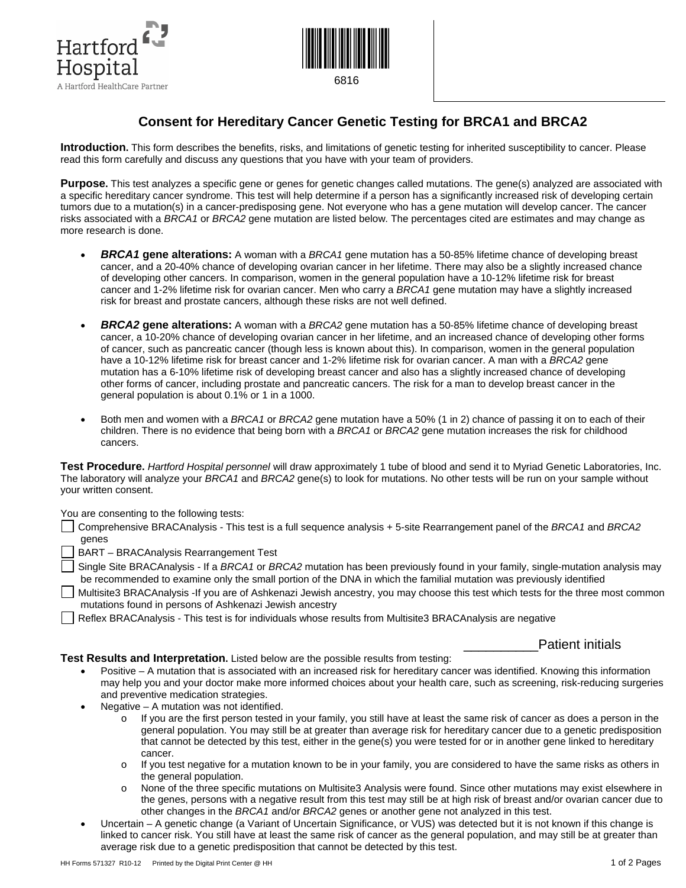



## **Consent for Hereditary Cancer Genetic Testing for BRCA1 and BRCA2**

**Introduction.** This form describes the benefits, risks, and limitations of genetic testing for inherited susceptibility to cancer. Please read this form carefully and discuss any questions that you have with your team of providers.

**Purpose.** This test analyzes a specific gene or genes for genetic changes called mutations. The gene(s) analyzed are associated with a specific hereditary cancer syndrome. This test will help determine if a person has a significantly increased risk of developing certain tumors due to a mutation(s) in a cancer-predisposing gene. Not everyone who has a gene mutation will develop cancer. The cancer risks associated with a *BRCA1* or *BRCA2* gene mutation are listed below. The percentages cited are estimates and may change as more research is done.

- *BRCA1* **gene alterations:** A woman with a *BRCA1* gene mutation has a 50-85% lifetime chance of developing breast cancer, and a 20-40% chance of developing ovarian cancer in her lifetime. There may also be a slightly increased chance of developing other cancers. In comparison, women in the general population have a 10-12% lifetime risk for breast cancer and 1-2% lifetime risk for ovarian cancer. Men who carry a *BRCA1* gene mutation may have a slightly increased risk for breast and prostate cancers, although these risks are not well defined.
- *BRCA2* **gene alterations:** A woman with a *BRCA2* gene mutation has a 50-85% lifetime chance of developing breast cancer, a 10-20% chance of developing ovarian cancer in her lifetime, and an increased chance of developing other forms of cancer, such as pancreatic cancer (though less is known about this). In comparison, women in the general population have a 10-12% lifetime risk for breast cancer and 1-2% lifetime risk for ovarian cancer. A man with a *BRCA2* gene mutation has a 6-10% lifetime risk of developing breast cancer and also has a slightly increased chance of developing other forms of cancer, including prostate and pancreatic cancers. The risk for a man to develop breast cancer in the general population is about 0.1% or 1 in a 1000.
- Both men and women with a *BRCA1* or *BRCA2* gene mutation have a 50% (1 in 2) chance of passing it on to each of their children. There is no evidence that being born with a *BRCA1* or *BRCA2* gene mutation increases the risk for childhood cancers.

**Test Procedure.** *Hartford Hospital personnel* will draw approximately 1 tube of blood and send it to Myriad Genetic Laboratories, Inc. The laboratory will analyze your *BRCA1* and *BRCA2* gene(s) to look for mutations. No other tests will be run on your sample without your written consent.

You are consenting to the following tests:

Comprehensive BRACAnalysis - This test is a full sequence analysis + 5-site Rearrangement panel of the *BRCA1* and *BRCA2* genes

BART – BRACAnalysis Rearrangement Test

Single Site BRACAnalysis - If a *BRCA1* or *BRCA2* mutation has been previously found in your family, single-mutation analysis may be recommended to examine only the small portion of the DNA in which the familial mutation was previously identified

Multisite3 BRACAnalysis -If you are of Ashkenazi Jewish ancestry, you may choose this test which tests for the three most common mutations found in persons of Ashkenazi Jewish ancestry

Reflex BRACAnalysis - This test is for individuals whose results from Multisite3 BRACAnalysis are negative

Patient initials

**Test Results and Interpretation.** Listed below are the possible results from testing:

- Positive A mutation that is associated with an increased risk for hereditary cancer was identified. Knowing this information may help you and your doctor make more informed choices about your health care, such as screening, risk-reducing surgeries and preventive medication strategies.
- Negative A mutation was not identified.
	- $\circ$  If you are the first person tested in your family, you still have at least the same risk of cancer as does a person in the general population. You may still be at greater than average risk for hereditary cancer due to a genetic predisposition that cannot be detected by this test, either in the gene(s) you were tested for or in another gene linked to hereditary cancer.
	- o If you test negative for a mutation known to be in your family, you are considered to have the same risks as others in the general population.
	- o None of the three specific mutations on Multisite3 Analysis were found. Since other mutations may exist elsewhere in the genes, persons with a negative result from this test may still be at high risk of breast and/or ovarian cancer due to other changes in the *BRCA1* and/or *BRCA2* genes or another gene not analyzed in this test.
- Uncertain A genetic change (a Variant of Uncertain Significance, or VUS) was detected but it is not known if this change is linked to cancer risk. You still have at least the same risk of cancer as the general population, and may still be at greater than average risk due to a genetic predisposition that cannot be detected by this test.